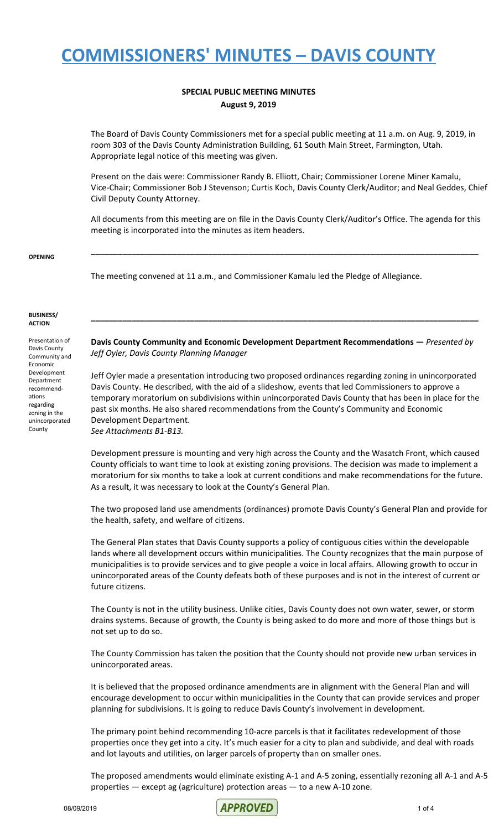#### **SPECIAL PUBLIC MEETING MINUTES August 9, 2019**

The Board of Davis County Commissioners met for a special public meeting at 11 a.m. on Aug. 9, 2019, in room 303 of the Davis County Administration Building, 61 South Main Street, Farmington, Utah. Appropriate legal notice of this meeting was given.

Present on the dais were: Commissioner Randy B. Elliott, Chair; Commissioner Lorene Miner Kamalu, Vice-Chair; Commissioner Bob J Stevenson; Curtis Koch, Davis County Clerk/Auditor; and Neal Geddes, Chief Civil Deputy County Attorney.

All documents from this meeting are on file in the Davis County Clerk/Auditor's Office. The agenda for this meeting is incorporated into the minutes as item headers.

**\_\_\_\_\_\_\_\_\_\_\_\_\_\_\_\_\_\_\_\_\_\_\_\_\_\_\_\_\_\_\_\_\_\_\_\_\_\_\_\_\_\_\_\_\_\_\_\_\_\_\_\_\_\_\_\_\_\_\_\_\_\_\_\_\_\_\_\_\_\_\_\_\_\_\_\_\_\_\_\_\_\_\_\_\_\_**

#### **OPENING**

The meeting convened at 11 a.m., and Commissioner Kamalu led the Pledge of Allegiance.

#### **BUSINESS/ ACTION**

Presentation of Davis County Community and Economic Development Department recommendations regarding zoning in the unincorporated **County** 

**Davis County Community and Economic Development Department Recommendations —** *Presented by Jeff Oyler, Davis County Planning Manager*

**\_\_\_\_\_\_\_\_\_\_\_\_\_\_\_\_\_\_\_\_\_\_\_\_\_\_\_\_\_\_\_\_\_\_\_\_\_\_\_\_\_\_\_\_\_\_\_\_\_\_\_\_\_\_\_\_\_\_\_\_\_\_\_\_\_\_\_\_\_\_\_\_\_\_\_\_\_\_\_\_\_\_\_\_\_\_**

Jeff Oyler made a presentation introducing two proposed ordinances regarding zoning in unincorporated Davis County. He described, with the aid of a slideshow, events that led Commissioners to approve a temporary moratorium on subdivisions within unincorporated Davis County that has been in place for the past six months. He also shared recommendations from the County's Community and Economic Development Department. *See Attachments B1-B13.*

Development pressure is mounting and very high across the County and the Wasatch Front, which caused County officials to want time to look at existing zoning provisions. The decision was made to implement a moratorium for six months to take a look at current conditions and make recommendations for the future. As a result, it was necessary to look at the County's General Plan.

The two proposed land use amendments (ordinances) promote Davis County's General Plan and provide for the health, safety, and welfare of citizens.

The General Plan states that Davis County supports a policy of contiguous cities within the developable lands where all development occurs within municipalities. The County recognizes that the main purpose of municipalities is to provide services and to give people a voice in local affairs. Allowing growth to occur in unincorporated areas of the County defeats both of these purposes and is not in the interest of current or future citizens.

The County is not in the utility business. Unlike cities, Davis County does not own water, sewer, or storm drains systems. Because of growth, the County is being asked to do more and more of those things but is not set up to do so.

The County Commission has taken the position that the County should not provide new urban services in unincorporated areas.

It is believed that the proposed ordinance amendments are in alignment with the General Plan and will encourage development to occur within municipalities in the County that can provide services and proper planning for subdivisions. It is going to reduce Davis County's involvement in development.

The primary point behind recommending 10-acre parcels is that it facilitates redevelopment of those properties once they get into a city. It's much easier for a city to plan and subdivide, and deal with roads and lot layouts and utilities, on larger parcels of property than on smaller ones.

The proposed amendments would eliminate existing A-1 and A-5 zoning, essentially rezoning all A-1 and A-5 properties — except ag (agriculture) protection areas — to a new A-10 zone.

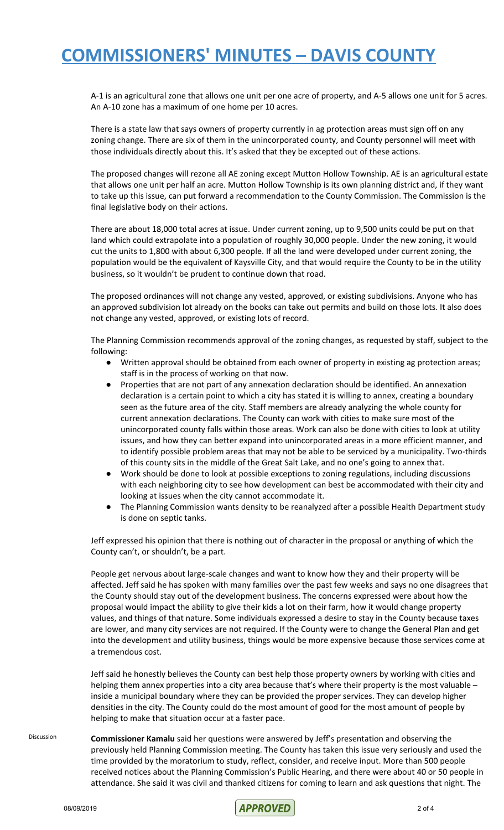A-1 is an agricultural zone that allows one unit per one acre of property, and A-5 allows one unit for 5 acres. An A-10 zone has a maximum of one home per 10 acres.

There is a state law that says owners of property currently in ag protection areas must sign off on any zoning change. There are six of them in the unincorporated county, and County personnel will meet with those individuals directly about this. It's asked that they be excepted out of these actions.

The proposed changes will rezone all AE zoning except Mutton Hollow Township. AE is an agricultural estate that allows one unit per half an acre. Mutton Hollow Township is its own planning district and, if they want to take up this issue, can put forward a recommendation to the County Commission. The Commission is the final legislative body on their actions.

There are about 18,000 total acres at issue. Under current zoning, up to 9,500 units could be put on that land which could extrapolate into a population of roughly 30,000 people. Under the new zoning, it would cut the units to 1,800 with about 6,300 people. If all the land were developed under current zoning, the population would be the equivalent of Kaysville City, and that would require the County to be in the utility business, so it wouldn't be prudent to continue down that road.

The proposed ordinances will not change any vested, approved, or existing subdivisions. Anyone who has an approved subdivision lot already on the books can take out permits and build on those lots. It also does not change any vested, approved, or existing lots of record.

The Planning Commission recommends approval of the zoning changes, as requested by staff, subject to the following:

- Written approval should be obtained from each owner of property in existing ag protection areas; staff is in the process of working on that now.
- Properties that are not part of any annexation declaration should be identified. An annexation declaration is a certain point to which a city has stated it is willing to annex, creating a boundary seen as the future area of the city. Staff members are already analyzing the whole county for current annexation declarations. The County can work with cities to make sure most of the unincorporated county falls within those areas. Work can also be done with cities to look at utility issues, and how they can better expand into unincorporated areas in a more efficient manner, and to identify possible problem areas that may not be able to be serviced by a municipality. Two-thirds of this county sits in the middle of the Great Salt Lake, and no one's going to annex that.
- Work should be done to look at possible exceptions to zoning regulations, including discussions with each neighboring city to see how development can best be accommodated with their city and looking at issues when the city cannot accommodate it.
- The Planning Commission wants density to be reanalyzed after a possible Health Department study is done on septic tanks.

Jeff expressed his opinion that there is nothing out of character in the proposal or anything of which the County can't, or shouldn't, be a part.

People get nervous about large-scale changes and want to know how they and their property will be affected. Jeff said he has spoken with many families over the past few weeks and says no one disagrees that the County should stay out of the development business. The concerns expressed were about how the proposal would impact the ability to give their kids a lot on their farm, how it would change property values, and things of that nature. Some individuals expressed a desire to stay in the County because taxes are lower, and many city services are not required. If the County were to change the General Plan and get into the development and utility business, things would be more expensive because those services come at a tremendous cost.

Jeff said he honestly believes the County can best help those property owners by working with cities and helping them annex properties into a city area because that's where their property is the most valuable – inside a municipal boundary where they can be provided the proper services. They can develop higher densities in the city. The County could do the most amount of good for the most amount of people by helping to make that situation occur at a faster pace.

Discussion **Commissioner Kamalu** said her questions were answered by Jeff's presentation and observing the previously held Planning Commission meeting. The County has taken this issue very seriously and used the time provided by the moratorium to study, reflect, consider, and receive input. More than 500 people received notices about the Planning Commission's Public Hearing, and there were about 40 or 50 people in attendance. She said it was civil and thanked citizens for coming to learn and ask questions that night. The

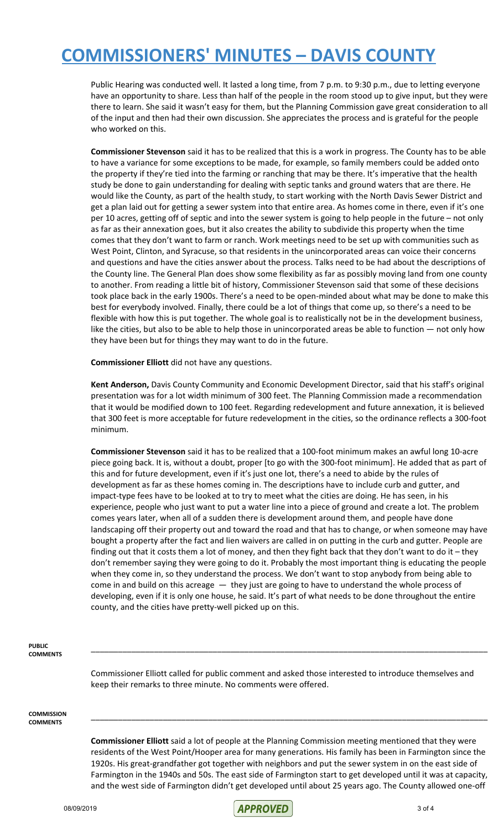Public Hearing was conducted well. It lasted a long time, from 7 p.m. to 9:30 p.m., due to letting everyone have an opportunity to share. Less than half of the people in the room stood up to give input, but they were there to learn. She said it wasn't easy for them, but the Planning Commission gave great consideration to all of the input and then had their own discussion. She appreciates the process and is grateful for the people who worked on this.

**Commissioner Stevenson** said it has to be realized that this is a work in progress. The County has to be able to have a variance for some exceptions to be made, for example, so family members could be added onto the property if they're tied into the farming or ranching that may be there. It's imperative that the health study be done to gain understanding for dealing with septic tanks and ground waters that are there. He would like the County, as part of the health study, to start working with the North Davis Sewer District and get a plan laid out for getting a sewer system into that entire area. As homes come in there, even if it's one per 10 acres, getting off of septic and into the sewer system is going to help people in the future – not only as far as their annexation goes, but it also creates the ability to subdivide this property when the time comes that they don't want to farm or ranch. Work meetings need to be set up with communities such as West Point, Clinton, and Syracuse, so that residents in the unincorporated areas can voice their concerns and questions and have the cities answer about the process. Talks need to be had about the descriptions of the County line. The General Plan does show some flexibility as far as possibly moving land from one county to another. From reading a little bit of history, Commissioner Stevenson said that some of these decisions took place back in the early 1900s. There's a need to be open-minded about what may be done to make this best for everybody involved. Finally, there could be a lot of things that come up, so there's a need to be flexible with how this is put together. The whole goal is to realistically not be in the development business, like the cities, but also to be able to help those in unincorporated areas be able to function — not only how they have been but for things they may want to do in the future.

**Commissioner Elliott** did not have any questions.

**Kent Anderson,** Davis County Community and Economic Development Director, said that his staff's original presentation was for a lot width minimum of 300 feet. The Planning Commission made a recommendation that it would be modified down to 100 feet. Regarding redevelopment and future annexation, it is believed that 300 feet is more acceptable for future redevelopment in the cities, so the ordinance reflects a 300-foot minimum.

**Commissioner Stevenson** said it has to be realized that a 100-foot minimum makes an awful long 10-acre piece going back. It is, without a doubt, proper [to go with the 300-foot minimum]. He added that as part of this and for future development, even if it's just one lot, there's a need to abide by the rules of development as far as these homes coming in. The descriptions have to include curb and gutter, and impact-type fees have to be looked at to try to meet what the cities are doing. He has seen, in his experience, people who just want to put a water line into a piece of ground and create a lot. The problem comes years later, when all of a sudden there is development around them, and people have done landscaping off their property out and toward the road and that has to change, or when someone may have bought a property after the fact and lien waivers are called in on putting in the curb and gutter. People are finding out that it costs them a lot of money, and then they fight back that they don't want to do it – they don't remember saying they were going to do it. Probably the most important thing is educating the people when they come in, so they understand the process. We don't want to stop anybody from being able to come in and build on this acreage — they just are going to have to understand the whole process of developing, even if it is only one house, he said. It's part of what needs to be done throughout the entire county, and the cities have pretty-well picked up on this.

**PUBLIC COMMENTS**

> Commissioner Elliott called for public comment and asked those interested to introduce themselves and keep their remarks to three minute. No comments were offered.

\_\_\_\_\_\_\_\_\_\_\_\_\_\_\_\_\_\_\_\_\_\_\_\_\_\_\_\_\_\_\_\_\_\_\_\_\_\_\_\_\_\_\_\_\_\_\_\_\_\_\_\_\_\_\_\_\_\_\_\_\_\_\_\_\_\_\_\_\_\_\_\_\_\_\_\_\_\_\_\_\_\_\_\_\_\_\_\_

**COMMISSION COMMENTS**

> **Commissioner Elliott** said a lot of people at the Planning Commission meeting mentioned that they were residents of the West Point/Hooper area for many generations. His family has been in Farmington since the 1920s. His great-grandfather got together with neighbors and put the sewer system in on the east side of Farmington in the 1940s and 50s. The east side of Farmington start to get developed until it was at capacity, and the west side of Farmington didn't get developed until about 25 years ago. The County allowed one-off

\_\_\_\_\_\_\_\_\_\_\_\_\_\_\_\_\_\_\_\_\_\_\_\_\_\_\_\_\_\_\_\_\_\_\_\_\_\_\_\_\_\_\_\_\_\_\_\_\_\_\_\_\_\_\_\_\_\_\_\_\_\_\_\_\_\_\_\_\_\_\_\_\_\_\_\_\_\_\_\_\_\_\_\_\_\_\_\_